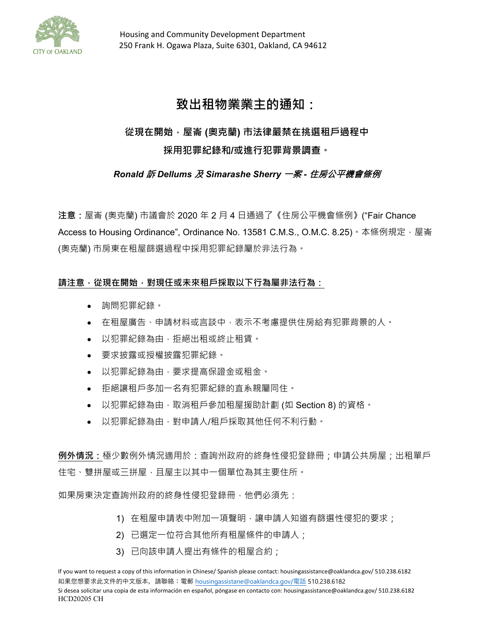

# **致出租物業業主的通知:**

# **從現在開始,屋崙 (奧克蘭) 市法律嚴禁在挑選租戶過程中 採用犯罪紀錄和/或進行犯罪背景調查。**

## *Ronald* 訴 *Dellums* 及 *Simarashe Sherry* 一案 *-* 住房公平機會條例

**注意:**屋崙 (奧克蘭) 市議會於 2020 年 2 月 4 日通過了《住房公平機會條例》("Fair Chance Access to Housing Ordinance", Ordinance No. 13581 C.M.S., O.M.C. 8.25)。本條例規定,屋崙 (奧克蘭) 市房東在租屋篩選過程中採用犯罪紀錄屬於非法行為。

## 請注意 · 從現在開始 · 對現任或未來租戶採取以下行為屬非法行為 :

- 詢問犯罪紀錄。
- 在租屋廣告、申請材料或言談中,表示不考慮提供住房給有犯罪背景的人。
- 以犯罪紀錄為由,拒絕出租或終止租賃。
- 要求披露或授權披露犯罪紀錄。
- 以犯罪紀錄為由,要求提高保證金或租金。
- 拒絕讓租戶多加一名有犯罪紀錄的直系親屬同住。
- 以犯罪紀錄為由,取消租戶參加租屋援助計劃 (如 Section 8) 的資格。
- 以犯罪紀錄為由,對申請人/租戶採取其他任何不利行動。

**例外情況:**極少數例外情況適用於:查詢州政府的終身性侵犯登錄冊;申請公共房屋;出租單戶 住宅、雙拼屋或三拼屋,且屋主以其中一個單位為其主要住所。

如果房東決定查詢州政府的終身性侵犯登錄冊,他們必須先:

- 1) 在租屋申請表中附加一項聲明,讓申請人知道有篩選性侵犯的要求;
- 2) 已選定一位符合其他所有租屋條件的申請人;
- 3) 已向該申請人提出有條件的租屋合約;

If you want to request a copy of this information in Chinese/ Spanish please contact: housingassistance@oaklandca.gov/ 510.238.6182 如果您想要求此文件的中文版本,請聯絡:電郵 [housingassistane@oaklandca.gov](mailto:housingassistane@oaklandca.gov/%E9%9B%BB%E8%A9%B1)/電話 510.238.6182 Si desea solicitar una copia de esta información en español, póngase en contacto con: housingassistance@oaklandca.gov/ 510.238.6182 HCD20205 CH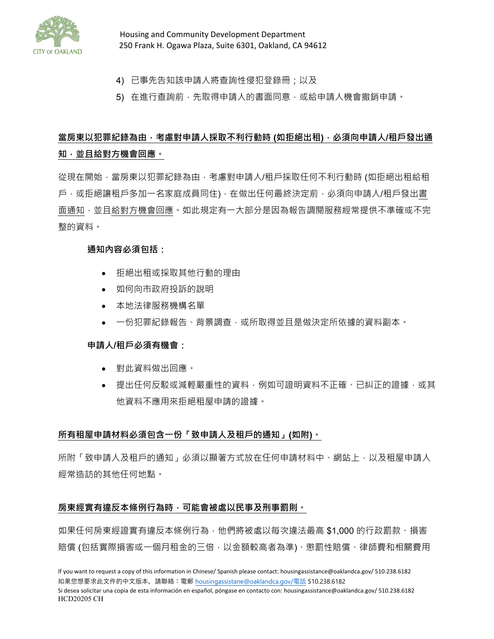

 Housing and Community Development Department 250 Frank H. Ogawa Plaza, Suite 6301, Oakland, CA 94612

- 4) 已事先告知該申請人將查詢性侵犯登錄冊;以及
- 5) 在進行查詢前,先取得申請人的書面同意,或給申請人機會撤銷申請。

# **當房東以犯罪紀錄為由,考慮對申請人採取不利行動時 (如拒絕出租),必須向申請人/租戶發出通 知,並且給對方機會回應。**

從現在開始,當房東以犯罪紀錄為由,考慮對申請人/租戶採取任何不利行動時 (如拒絕出租給租 戶,或拒絕讓租戶多加一名家庭成員同住),在做出任何最終決定前,必須向申請人/租戶發出書 面通知﹐並且給對方機會回應。如此規定有一大部分是因為報告調閱服務經常提供不準確或不完 整的資料。

#### **通知內容必須包括:**

- 拒絕出租或採取其他行動的理由
- 如何向市政府投訴的說明
- 本地法律服務機構名單
- 一份犯罪紀錄報告、背景調查,或所取得並且是做決定所依據的資料副本。

#### **申請人/租戶必須有機會:**

- 對此資料做出回應。
- 提出任何反駁或減輕嚴重性的資料,例如可證明資料不正確、已糾正的證據,或其 他資料不應用來拒絕租屋申請的證據。

#### **所有租屋申請材料必須包含一份「致申請人及租戶的通知」(如附)。**

所附「致申請人及租戶的通知」必須以顯著方式放在任何申請材料中、網站上,以及租屋申請人 經常造訪的其他任何地點。

#### **房東經實有違反本條例行為時,可能會被處以民事及刑事罰則。**

如果任何房東經證實有違反本條例行為,他們將被處以每次違法最高 \$1,000 的行政罰款、損害 賠償 (包括實際損害或一個月租金的三倍,以金額較高者為準)、懲罰性賠償、律師費和相關費用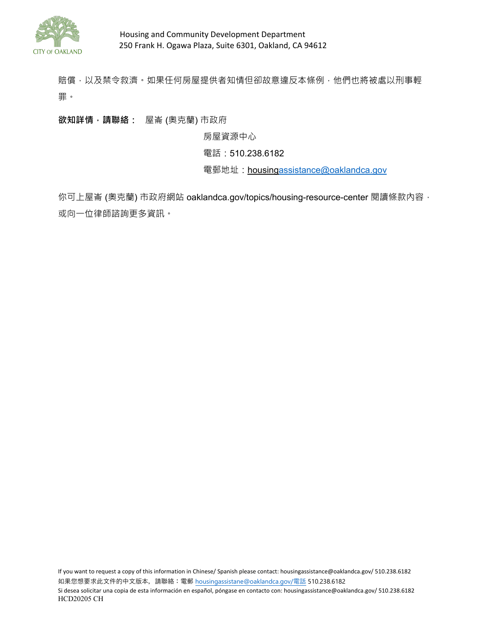

賠償,以及禁令救濟。如果任何房屋提供者知情但卻故意違反本條例,他們也將被處以刑事輕 罪。

**欲知詳情,請聯絡:** 屋崙 (奧克蘭) 市政府

房屋資源中心

電話:510.238.6182

電郵地址: housin[gassistance@oaklandca.gov](mailto:assistance@oaklandca.gov)

你可上屋崙 (奧克蘭) 市政府網站 oaklandca.gov/topics/housing-resource-center 閱讀條款內容, 或向一位律師諮詢更多資訊。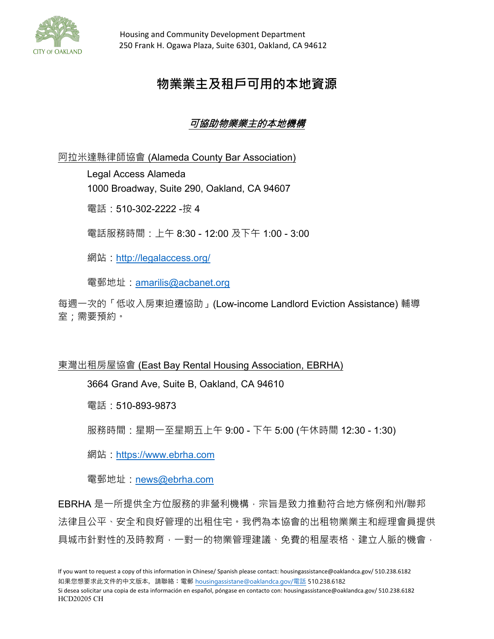

# **物業業主及租戶可用的本地資源**

# 可協助物業業主的本地機構

阿拉米達縣律師協會 (Alameda County Bar Association)

Legal Access Alameda 1000 Broadway, Suite 290, Oakland, CA 94607 電話: 510-302-2222 -按 4

電話服務時間:上午 8:30 - 12:00 及下午 1:00 - 3:00

網站:<http://legalaccess.org/>

電郵地址:[amarilis@acbanet.org](file://oakland/ceda/RentAdj/Rent%20Adjustment%20Program/FORMS%20and%20PACKETS/_FORMS%20for%20Public%20Information%20Unit_2019/_2019%20Forms%20LOCKED%20for%20EDITING%20ONLY/amarilis@acbanet.org)

每週一次的「低收入房東迫遷協助」(Low-income Landlord Eviction Assistance) 輔導 室;需要預約。

## 東灣出租房屋協會 (East Bay Rental Housing Association, EBRHA)

3664 Grand Ave, Suite B, Oakland, CA 94610

電話:510-893-9873

服務時間:星期一至星期五上午 9:00 - 下午 5:00 (午休時間 12:30 - 1:30)

網站:[https://www.ebrha.com](https://www.ebrha.com/)

電郵地址:[news@ebrha.com](file://oakland/ceda/RentAdj/Rent%20Adjustment%20Program/FORMS%20and%20PACKETS/_FORMS%20for%20Public%20Information%20Unit_2019/_2019%20Forms%20LOCKED%20for%20EDITING%20ONLY/news@ebrha.com)

EBRHA 是一所提供全方位服務的非營利機構,宗旨是致力推動符合地方條例和州/聯邦 法律且公平、安全和良好管理的出租住宅。我們為本協會的出租物業業主和經理會員提供 具城市針對性的及時教育,一對一的物業管理建議、免費的租屋表格、建立人脈的機會,

Si desea solicitar una copia de esta información en español, póngase en contacto con: housingassistance@oaklandca.gov/ 510.238.6182 HCD20205 CH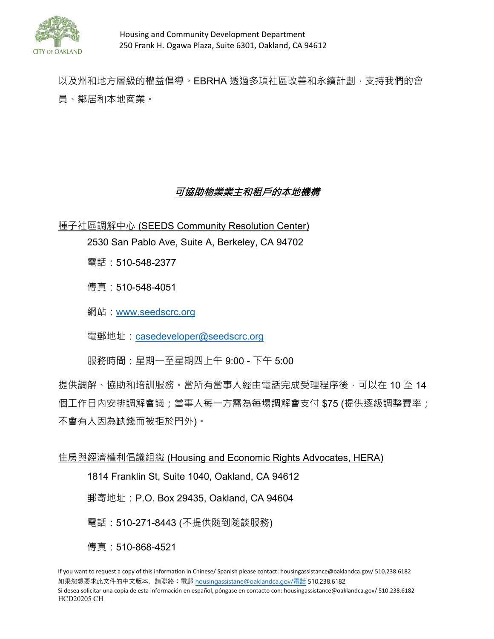

以及州和地方層級的權益倡導。EBRHA 透過多項社區改善和永續計劃,支持我們的會 員、鄰居和本地商業。

## 可協助物業業主和租戶的本地機構

種子社區調解中心 (SEEDS Community Resolution Center)

2530 San Pablo Ave, Suite A, Berkeley, CA 94702

電話:510-548-2377

傳真:510-548-4051

網站:[www.seedscrc.org](file://oakland/ceda/RentAdj/Rent%20Adjustment%20Program/FORMS%20and%20PACKETS/_FORMS%20for%20Public%20Information%20Unit_2019/_2019%20Forms%20LOCKED%20for%20EDITING%20ONLY/www.seedscrc.org)

電郵地址:[casedeveloper@seedscrc.org](file://oakland/ceda/RentAdj/Rent%20Adjustment%20Program/FORMS%20and%20PACKETS/_FORMS%20for%20Public%20Information%20Unit_2019/_2019%20Forms%20LOCKED%20for%20EDITING%20ONLY/casedeveloper@seedscrc.org)

服務時間:星期一至星期四上午 9:00 - 下午 5:00

提供調解、協助和培訓服務。當所有當事人經由電話完成受理程序後,可以在 10 至 14 個工作日內安排調解會議;當事人每一方需為每場調解會支付 \$75 (提供逐級調整費率; 不會有人因為缺錢而被拒於門外)。

### 住房與經濟權利倡議組織 (Housing and Economic Rights Advocates, HERA)

1814 Franklin St, Suite 1040, Oakland, CA 94612

郵寄地址:P.O. Box 29435, Oakland, CA 94604

電話:510-271-8443 (不提供隨到隨談服務)

傳真:510-868-4521